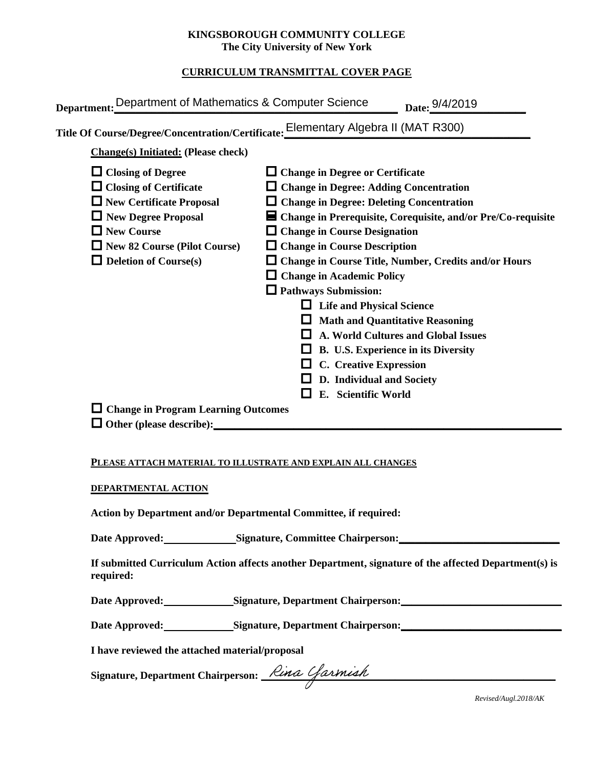### **KINGSBOROUGH COMMUNITY COLLEGE The City University of New York**

### **CURRICULUM TRANSMITTAL COVER PAGE**

| Department: Department of Mathematics & Computer Science | Date: 9/4/2019                                                                     |
|----------------------------------------------------------|------------------------------------------------------------------------------------|
|                                                          | Title Of Course/Degree/Concentration/Certificate: Elementary Algebra II (MAT R300) |
| <b>Change(s)</b> Initiated: (Please check)               |                                                                                    |
| $\Box$ Closing of Degree                                 | $\Box$ Change in Degree or Certificate                                             |
| $\Box$ Closing of Certificate                            | $\Box$ Change in Degree: Adding Concentration                                      |
| $\Box$ New Certificate Proposal                          | $\Box$ Change in Degree: Deleting Concentration                                    |
| $\Box$ New Degree Proposal                               | $\blacksquare$ Change in Prerequisite, Corequisite, and/or Pre/Co-requisite        |
| $\Box$ New Course                                        | <b>Change in Course Designation</b>                                                |
| $\Box$ New 82 Course (Pilot Course)                      | $\Box$ Change in Course Description                                                |
| $\Box$ Deletion of Course(s)                             | <b>Change in Course Title, Number, Credits and/or Hours</b>                        |
|                                                          | $\Box$ Change in Academic Policy                                                   |
|                                                          | $\Box$ Pathways Submission:                                                        |
|                                                          | $\Box$ Life and Physical Science                                                   |
|                                                          | <b>Math and Quantitative Reasoning</b>                                             |
|                                                          | <b>A. World Cultures and Global Issues</b>                                         |
|                                                          | <b>B. U.S. Experience in its Diversity</b>                                         |
|                                                          | <b>C.</b> Creative Expression                                                      |
|                                                          | D. Individual and Society                                                          |
|                                                          | E. Scientific World                                                                |
| $\Box$ Change in Program Learning Outcomes               |                                                                                    |
| $\Box$ Other (please describe):                          |                                                                                    |
|                                                          |                                                                                    |

#### **PLEASE ATTACH MATERIAL TO ILLUSTRATE AND EXPLAIN ALL CHANGES**

#### **DEPARTMENTAL ACTION**

**Action by Department and/or Departmental Committee, if required:**

Date Approved: Signature, Committee Chairperson:

**If submitted Curriculum Action affects another Department, signature of the affected Department(s) is required:**

Date Approved: Signature, Department Chairperson: National Approved:

Date Approved: Signature, Department Chairperson: Network and Solven and Solven and Solven and Solven and Solven and Solven and Solven and Solven and Solven and Solven and Solven and Solven and Solven and Solven and Solven

**I have reviewed the attached material/proposal**

**Signature, Department Chairperson: \_\_\_\_\_\_\_\_\_\_\_\_\_\_\_\_\_\_\_\_\_\_\_\_\_\_\_\_\_\_\_\_\_\_\_\_\_\_\_\_\_\_\_\_\_\_\_\_\_\_\_\_\_\_\_**

*Revised/Augl.2018/AK*